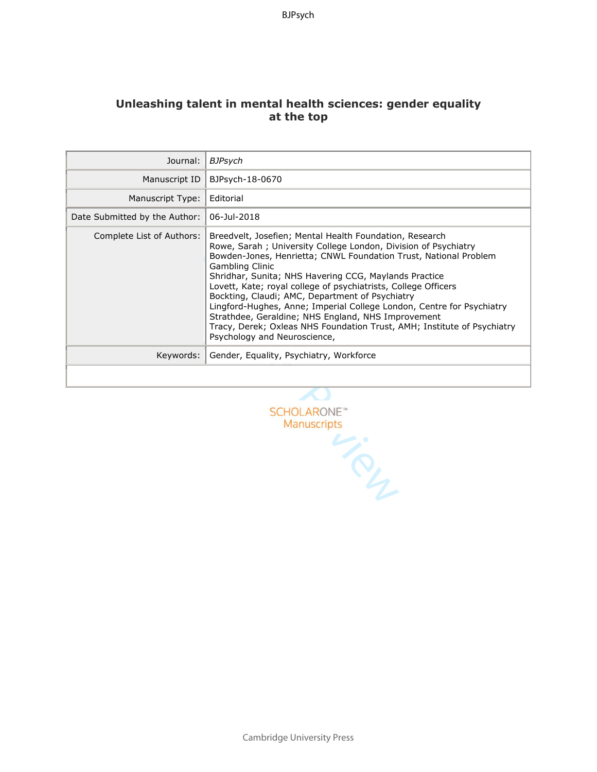# **Unleashing talent in mental health sciences: gender equality at the top**

| Journal:                      | BJPsych                                                                                                                                                                                                                                                                                                                                                                                                                                                                                                                                                                                                                                         |
|-------------------------------|-------------------------------------------------------------------------------------------------------------------------------------------------------------------------------------------------------------------------------------------------------------------------------------------------------------------------------------------------------------------------------------------------------------------------------------------------------------------------------------------------------------------------------------------------------------------------------------------------------------------------------------------------|
| Manuscript ID                 | BJPsych-18-0670                                                                                                                                                                                                                                                                                                                                                                                                                                                                                                                                                                                                                                 |
| Manuscript Type:              | Editorial                                                                                                                                                                                                                                                                                                                                                                                                                                                                                                                                                                                                                                       |
| Date Submitted by the Author: | 06-Jul-2018                                                                                                                                                                                                                                                                                                                                                                                                                                                                                                                                                                                                                                     |
| Complete List of Authors:     | Breedvelt, Josefien; Mental Health Foundation, Research<br>Rowe, Sarah; University College London, Division of Psychiatry<br>Bowden-Jones, Henrietta; CNWL Foundation Trust, National Problem<br><b>Gambling Clinic</b><br>Shridhar, Sunita; NHS Havering CCG, Maylands Practice<br>Lovett, Kate; royal college of psychiatrists, College Officers<br>Bockting, Claudi; AMC, Department of Psychiatry<br>Lingford-Hughes, Anne; Imperial College London, Centre for Psychiatry<br>Strathdee, Geraldine; NHS England, NHS Improvement<br>Tracy, Derek; Oxleas NHS Foundation Trust, AMH; Institute of Psychiatry<br>Psychology and Neuroscience, |
| Keywords:                     | Gender, Equality, Psychiatry, Workforce                                                                                                                                                                                                                                                                                                                                                                                                                                                                                                                                                                                                         |
|                               |                                                                                                                                                                                                                                                                                                                                                                                                                                                                                                                                                                                                                                                 |

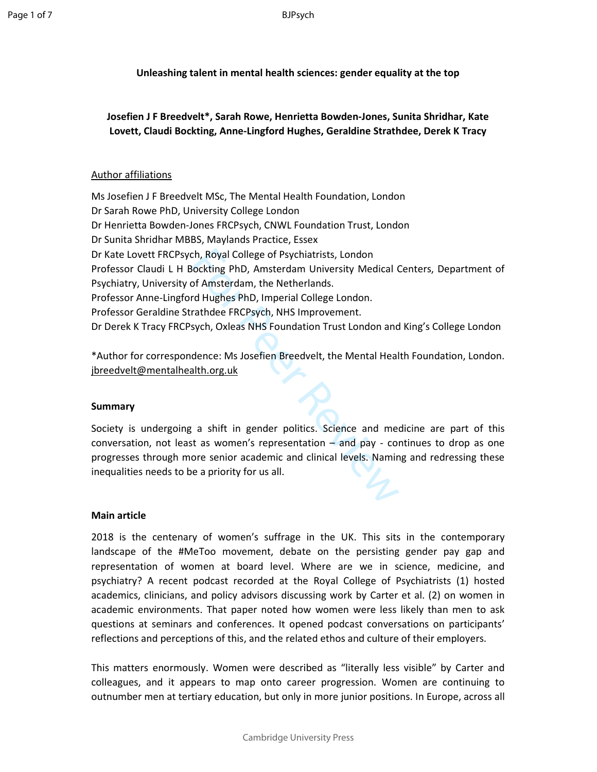BJPsych

**Unleashing talent in mental health sciences: gender equality at the top** 

**Josefien J F Breedvelt\*, Sarah Rowe, Henrietta Bowden-Jones, Sunita Shridhar, Kate Lovett, Claudi Bockting, Anne-Lingford Hughes, Geraldine Strathdee, Derek K Tracy** 

## Author affiliations

ch, Royal College of Psychiatrists, London<br>
iockting PhD, Amsterdam University Medical (<br>
of Amsterdam, the Netherlands.<br>
rd Hughes PhD, Imperial College London.<br>
rathdee FRCPsych, NHS Improvement.<br>
sych, Oxleas NHS Founda Ms Josefien J F Breedvelt MSc, The Mental Health Foundation, London Dr Sarah Rowe PhD, University College London Dr Henrietta Bowden-Jones FRCPsych, CNWL Foundation Trust, London Dr Sunita Shridhar MBBS, Maylands Practice, Essex Dr Kate Lovett FRCPsych, Royal College of Psychiatrists, London Professor Claudi L H Bockting PhD, Amsterdam University Medical Centers, Department of Psychiatry, University of Amsterdam, the Netherlands. Professor Anne-Lingford Hughes PhD, Imperial College London. Professor Geraldine Strathdee FRCPsych, NHS Improvement. Dr Derek K Tracy FRCPsych, Oxleas NHS Foundation Trust London and King's College London

\*Author for correspondence: Ms Josefien Breedvelt, the Mental Health Foundation, London. jbreedvelt@mentalhealth.org.uk

#### **Summary**

Society is undergoing a shift in gender politics. Science and medicine are part of this conversation, not least as women's representation – and pay - continues to drop as one progresses through more senior academic and clinical levels. Naming and redressing these inequalities needs to be a priority for us all.

#### **Main article**

2018 is the centenary of women's suffrage in the UK. This sits in the contemporary landscape of the #MeToo movement, debate on the persisting gender pay gap and representation of women at board level. Where are we in science, medicine, and psychiatry? A recent podcast recorded at the Royal College of Psychiatrists (1) hosted academics, clinicians, and policy advisors discussing work by Carter et al. (2) on women in academic environments. That paper noted how women were less likely than men to ask questions at seminars and conferences. It opened podcast conversations on participants' reflections and perceptions of this, and the related ethos and culture of their employers.

This matters enormously. Women were described as "literally less visible" by Carter and colleagues, and it appears to map onto career progression. Women are continuing to outnumber men at tertiary education, but only in more junior positions. In Europe, across all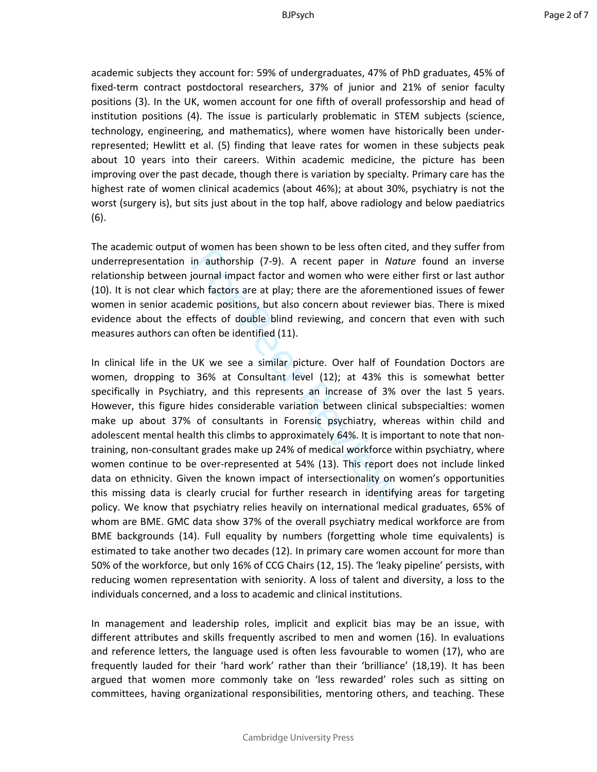academic subjects they account for: 59% of undergraduates, 47% of PhD graduates, 45% of fixed-term contract postdoctoral researchers, 37% of junior and 21% of senior faculty positions (3). In the UK, women account for one fifth of overall professorship and head of institution positions (4). The issue is particularly problematic in STEM subjects (science, technology, engineering, and mathematics), where women have historically been underrepresented; Hewlitt et al. (5) finding that leave rates for women in these subjects peak about 10 years into their careers. Within academic medicine, the picture has been improving over the past decade, though there is variation by specialty. Primary care has the highest rate of women clinical academics (about 46%); at about 30%, psychiatry is not the worst (surgery is), but sits just about in the top half, above radiology and below paediatrics (6).

The academic output of women has been shown to be less often cited, and they suffer from underrepresentation in authorship (7-9). A recent paper in *Nature* found an inverse relationship between journal impact factor and women who were either first or last author (10). It is not clear which factors are at play; there are the aforementioned issues of fewer women in senior academic positions, but also concern about reviewer bias. There is mixed evidence about the effects of double blind reviewing, and concern that even with such measures authors can often be identified (11).

in authorship (7-9). A recent paper in *Noti*<br>in authorship (7-9). A recent paper in *Noti*<br>iournal impact factor and women who were ei<br>cich factors are at play; there are the aforemer<br>emic positions, but also concern abou In clinical life in the UK we see a similar picture. Over half of Foundation Doctors are women, dropping to 36% at Consultant level (12); at 43% this is somewhat better specifically in Psychiatry, and this represents an increase of 3% over the last 5 years. However, this figure hides considerable variation between clinical subspecialties: women make up about 37% of consultants in Forensic psychiatry, whereas within child and adolescent mental health this climbs to approximately 64%. It is important to note that nontraining, non-consultant grades make up 24% of medical workforce within psychiatry, where women continue to be over-represented at 54% (13). This report does not include linked data on ethnicity. Given the known impact of intersectionality on women's opportunities this missing data is clearly crucial for further research in identifying areas for targeting policy. We know that psychiatry relies heavily on international medical graduates, 65% of whom are BME. GMC data show 37% of the overall psychiatry medical workforce are from BME backgrounds (14). Full equality by numbers (forgetting whole time equivalents) is estimated to take another two decades (12). In primary care women account for more than 50% of the workforce, but only 16% of CCG Chairs (12, 15). The 'leaky pipeline' persists, with reducing women representation with seniority. A loss of talent and diversity, a loss to the individuals concerned, and a loss to academic and clinical institutions.

In management and leadership roles, implicit and explicit bias may be an issue, with different attributes and skills frequently ascribed to men and women (16). In evaluations and reference letters, the language used is often less favourable to women (17), who are frequently lauded for their 'hard work' rather than their 'brilliance' (18,19). It has been argued that women more commonly take on 'less rewarded' roles such as sitting on committees, having organizational responsibilities, mentoring others, and teaching. These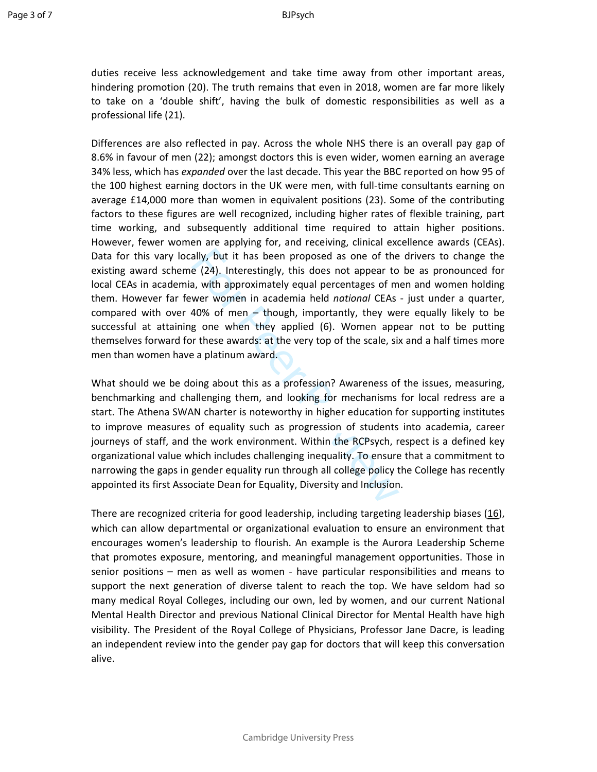duties receive less acknowledgement and take time away from other important areas, hindering promotion (20). The truth remains that even in 2018, women are far more likely to take on a 'double shift', having the bulk of domestic responsibilities as well as a professional life (21).

ally, but it has been proposed as one of the<br>e (24). Interestingly, this does not appear to<br>a, with approximately equal percentages of m<br>wer women in academia held *national* CEAs<br>40% of men – though, importantly, they we<br> Differences are also reflected in pay. Across the whole NHS there is an overall pay gap of 8.6% in favour of men (22); amongst doctors this is even wider, women earning an average 34% less, which has *expanded* over the last decade. This year the BBC reported on how 95 of the 100 highest earning doctors in the UK were men, with full-time consultants earning on average £14,000 more than women in equivalent positions (23). Some of the contributing factors to these figures are well recognized, including higher rates of flexible training, part time working, and subsequently additional time required to attain higher positions. However, fewer women are applying for, and receiving, clinical excellence awards (CEAs). Data for this vary locally, but it has been proposed as one of the drivers to change the existing award scheme (24). Interestingly, this does not appear to be as pronounced for local CEAs in academia, with approximately equal percentages of men and women holding them. However far fewer women in academia held *national* CEAs - just under a quarter, compared with over 40% of men – though, importantly, they were equally likely to be successful at attaining one when they applied (6). Women appear not to be putting themselves forward for these awards: at the very top of the scale, six and a half times more men than women have a platinum award.

What should we be doing about this as a profession? Awareness of the issues, measuring, benchmarking and challenging them, and looking for mechanisms for local redress are a start. The Athena SWAN charter is noteworthy in higher education for supporting institutes to improve measures of equality such as progression of students into academia, career journeys of staff, and the work environment. Within the RCPsych, respect is a defined key organizational value which includes challenging inequality. To ensure that a commitment to narrowing the gaps in gender equality run through all college policy the College has recently appointed its first Associate Dean for Equality, Diversity and Inclusion.

There are recognized criteria for good leadership, including targeting leadership biases  $(16)$ , which can allow departmental or organizational evaluation to ensure an environment that encourages women's leadership to flourish. An example is the Aurora Leadership Scheme that promotes exposure, mentoring, and meaningful management opportunities. Those in senior positions – men as well as women - have particular responsibilities and means to support the next generation of diverse talent to reach the top. We have seldom had so many medical Royal Colleges, including our own, led by women, and our current National Mental Health Director and previous National Clinical Director for Mental Health have high visibility. The President of the Royal College of Physicians, Professor Jane Dacre, is leading an independent review into the gender pay gap for doctors that will keep this conversation alive.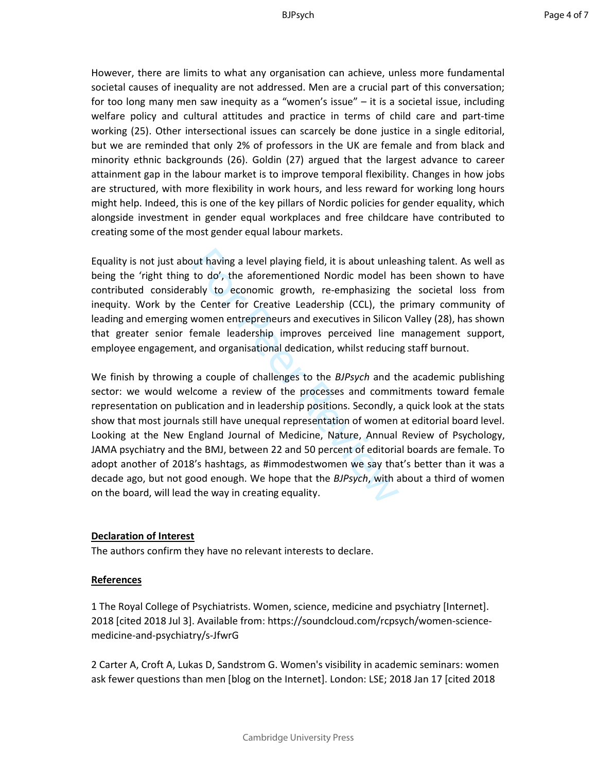However, there are limits to what any organisation can achieve, unless more fundamental societal causes of inequality are not addressed. Men are a crucial part of this conversation; for too long many men saw inequity as a "women's issue" – it is a societal issue, including welfare policy and cultural attitudes and practice in terms of child care and part-time working (25). Other intersectional issues can scarcely be done justice in a single editorial, but we are reminded that only 2% of professors in the UK are female and from black and minority ethnic backgrounds (26). Goldin (27) argued that the largest advance to career attainment gap in the labour market is to improve temporal flexibility. Changes in how jobs are structured, with more flexibility in work hours, and less reward for working long hours might help. Indeed, this is one of the key pillars of Nordic policies for gender equality, which alongside investment in gender equal workplaces and free childcare have contributed to creating some of the most gender equal labour markets.

Equality is not just about having a level playing field, it is about unleashing talent. As well as being the 'right thing to do', the aforementioned Nordic model has been shown to have contributed considerably to economic growth, re-emphasizing the societal loss from inequity. Work by the Center for Creative Leadership (CCL), the primary community of leading and emerging women entrepreneurs and executives in Silicon Valley (28), has shown that greater senior female leadership improves perceived line management support, employee engagement, and organisational dedication, whilst reducing staff burnout.

but having a level playing field, it is about unleat<br>to do', the aforementioned Nordic model ha<br>bly to economic growth, re-emphasizing t<br>e Center for Creative Leadership (CCL), the<br>women entrepreneurs and executives in Sil We finish by throwing a couple of challenges to the *BJPsych* and the academic publishing sector: we would welcome a review of the processes and commitments toward female representation on publication and in leadership positions. Secondly, a quick look at the stats show that most journals still have unequal representation of women at editorial board level. Looking at the New England Journal of Medicine, Nature, Annual Review of Psychology, JAMA psychiatry and the BMJ, between 22 and 50 percent of editorial boards are female. To adopt another of 2018's hashtags, as #immodestwomen we say that's better than it was a decade ago, but not good enough. We hope that the *BJPsych*, with about a third of women on the board, will lead the way in creating equality.

## **Declaration of Interest**

The authors confirm they have no relevant interests to declare.

### **References**

1 The Royal College of Psychiatrists. Women, science, medicine and psychiatry [Internet]. 2018 [cited 2018 Jul 3]. Available from: https://soundcloud.com/rcpsych/women-sciencemedicine-and-psychiatry/s-JfwrG

2 Carter A, Croft A, Lukas D, Sandstrom G. Women's visibility in academic seminars: women ask fewer questions than men [blog on the Internet]. London: LSE; 2018 Jan 17 [cited 2018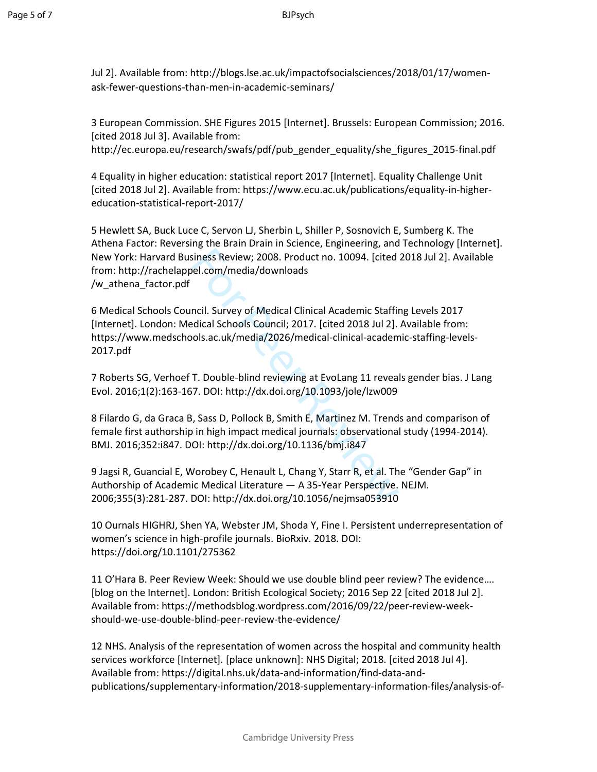Jul 2]. Available from: http://blogs.lse.ac.uk/impactofsocialsciences/2018/01/17/womenask-fewer-questions-than-men-in-academic-seminars/

3 European Commission. SHE Figures 2015 [Internet]. Brussels: European Commission; 2016. [cited 2018 Jul 3]. Available from:

http://ec.europa.eu/research/swafs/pdf/pub\_gender\_equality/she\_figures\_2015-final.pdf

4 Equality in higher education: statistical report 2017 [Internet]. Equality Challenge Unit [cited 2018 Jul 2]. Available from: https://www.ecu.ac.uk/publications/equality-in-highereducation-statistical-report-2017/

5 Hewlett SA, Buck Luce C, Servon LJ, Sherbin L, Shiller P, Sosnovich E, Sumberg K. The Athena Factor: Reversing the Brain Drain in Science, Engineering, and Technology [Internet]. New York: Harvard Business Review; 2008. Product no. 10094. [cited 2018 Jul 2]. Available from: http://rachelappel.com/media/downloads /w\_athena\_factor.pdf

siness Review; 2008. Product no. 10094. [cited<br>nel.com/media/downloads<br>ncil. Survey of Medical Clinical Academic Staffir<br>neil. Survey of Medical Clinical Academic Staffir<br>dical Schools Council; 2017. [cited 2018 Jul 2].<br>Do 6 Medical Schools Council. Survey of Medical Clinical Academic Staffing Levels 2017 [Internet]. London: Medical Schools Council; 2017. [cited 2018 Jul 2]. Available from: https://www.medschools.ac.uk/media/2026/medical-clinical-academic-staffing-levels-2017.pdf

7 Roberts SG, Verhoef T. Double-blind reviewing at EvoLang 11 reveals gender bias. J Lang Evol. 2016;1(2):163-167. DOI: http://dx.doi.org/10.1093/jole/lzw009

8 Filardo G, da Graca B, Sass D, Pollock B, Smith E, Martinez M. Trends and comparison of female first authorship in high impact medical journals: observational study (1994-2014). BMJ. 2016;352:i847. DOI: http://dx.doi.org/10.1136/bmj.i847

9 Jagsi R, Guancial E, Worobey C, Henault L, Chang Y, Starr R, et al. The "Gender Gap" in Authorship of Academic Medical Literature — A 35-Year Perspective. NEJM. 2006;355(3):281-287. DOI: http://dx.doi.org/10.1056/nejmsa053910

10 Ournals HIGHRJ, Shen YA, Webster JM, Shoda Y, Fine I. Persistent underrepresentation of women's science in high-profile journals. BioRxiv. 2018. DOI: https://doi.org/10.1101/275362

11 O'Hara B. Peer Review Week: Should we use double blind peer review? The evidence…. [blog on the Internet]. London: British Ecological Society; 2016 Sep 22 [cited 2018 Jul 2]. Available from: https://methodsblog.wordpress.com/2016/09/22/peer-review-weekshould-we-use-double-blind-peer-review-the-evidence/

12 NHS. Analysis of the representation of women across the hospital and community health services workforce [Internet]. [place unknown]: NHS Digital; 2018. [cited 2018 Jul 4]. Available from: https://digital.nhs.uk/data-and-information/find-data-andpublications/supplementary-information/2018-supplementary-information-files/analysis-of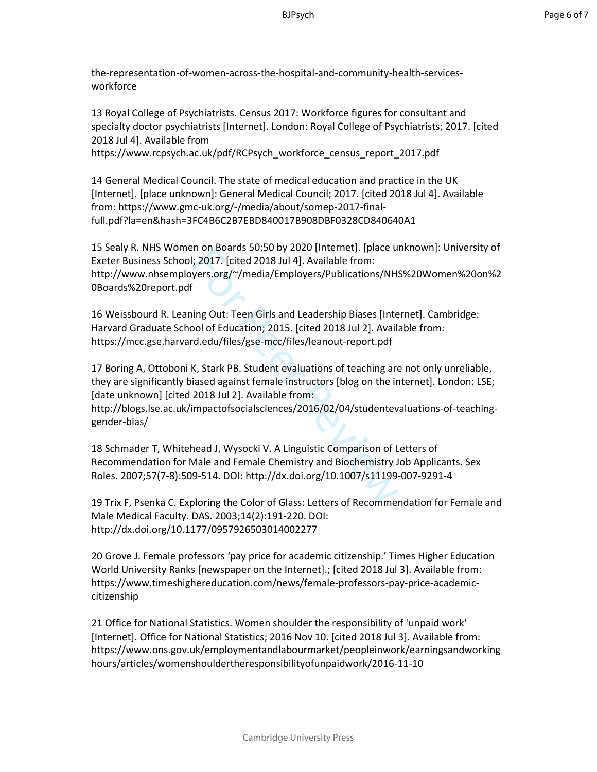the-representation-of-women-across-the-hospital-and-community-health-servicesworkforce

13 Royal College of Psychiatrists. Census 2017: Workforce figures for consultant and specialty doctor psychiatrists [Internet]. London: Royal College of Psychiatrists; 2017. [cited 2018 Jul 4]. Available from

https://www.rcpsych.ac.uk/pdf/RCPsych\_workforce\_census\_report\_2017.pdf

14 General Medical Council. The state of medical education and practice in the UK [Internet]. [place unknown]: General Medical Council; 2017. [cited 2018 Jul 4]. Available from: https://www.gmc-uk.org/-/media/about/somep-2017-finalfull.pdf?la=en&hash=3FC4B6C2B7EBD840017B908DBF0328CD840640A1

For on Boarus 30.30 by 2020 [internet]. [place units 30.30 by 2020 [internet]. [place units 2017. [cited 2018 Jul 4]. Available from:<br>in 2017. [cited 2018 Jul 4]. Available from:<br>fing Out: Teen Girls and Leadership Biases 15 Sealy R. NHS Women on Boards 50:50 by 2020 [Internet]. [place unknown]: University of Exeter Business School; 2017. [cited 2018 Jul 4]. Available from: http://www.nhsemployers.org/~/media/Employers/Publications/NHS%20Women%20on%2 0Boards%20report.pdf

16 Weissbourd R. Leaning Out: Teen Girls and Leadership Biases [Internet]. Cambridge: Harvard Graduate School of Education; 2015. [cited 2018 Jul 2]. Available from: https://mcc.gse.harvard.edu/files/gse-mcc/files/leanout-report.pdf

17 Boring A, Ottoboni K, Stark PB. Student evaluations of teaching are not only unreliable, they are significantly biased against female instructors [blog on the internet]. London: LSE; [date unknown] [cited 2018 Jul 2]. Available from:

http://blogs.lse.ac.uk/impactofsocialsciences/2016/02/04/studentevaluations-of-teachinggender-bias/

18 Schmader T, Whitehead J, Wysocki V. A Linguistic Comparison of Letters of Recommendation for Male and Female Chemistry and Biochemistry Job Applicants. Sex Roles. 2007;57(7-8):509-514. DOI: http://dx.doi.org/10.1007/s11199-007-9291-4

19 Trix F, Psenka C. Exploring the Color of Glass: Letters of Recommendation for Female and Male Medical Faculty. DAS. 2003;14(2):191-220. DOI: http://dx.doi.org/10.1177/0957926503014002277

20 Grove J. Female professors 'pay price for academic citizenship.' Times Higher Education World University Ranks [newspaper on the Internet].; [cited 2018 Jul 3]. Available from: https://www.timeshighereducation.com/news/female-professors-pay-price-academiccitizenship

21 Office for National Statistics. Women shoulder the responsibility of 'unpaid work' [Internet]. Office for National Statistics; 2016 Nov 10. [cited 2018 Jul 3]. Available from: https://www.ons.gov.uk/employmentandlabourmarket/peopleinwork/earningsandworking hours/articles/womenshouldertheresponsibilityofunpaidwork/2016-11-10